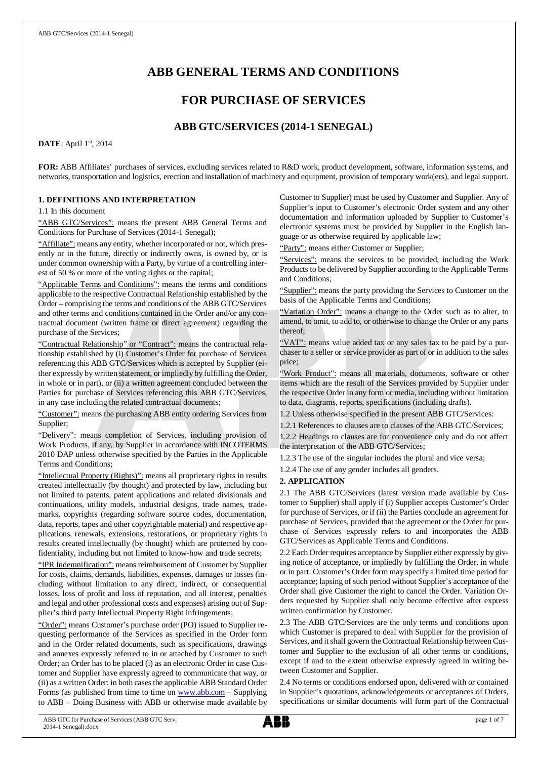# **ABB GENERAL TERMS AND CONDITIONS**

# **FOR PURCHASE OF SERVICES**

## **ABB GTC/SERVICES (2014-1 SENEGAL)**

**DATE**: April 1st, 2014

**FOR:** ABB Affiliates' purchases of services, excluding services related to R&D work, product development, software, information systems, and networks, transportation and logistics, erection and installation of machinery and equipment, provision of temporary work(ers), and legal support.

## **1. DEFINITIONS AND INTERPRETATION**

1.1 In this document

"ABB GTC/Services": means the present ABB General Terms and Conditions for Purchase of Services (2014-1 Senegal);

"Affiliate": means any entity, whether incorporated or not, which presently or in the future, directly or indirectly owns, is owned by, or is under common ownership with a Party, by virtue of a controlling interest of 50 % or more of the voting rights or the capital;

"Applicable Terms and Conditions": means the terms and conditions applicable to the respective Contractual Relationship established by the Order – comprising the terms and conditions of the ABB GTC/Services and other terms and conditions contained in the Order and/or any contractual document (written frame or direct agreement) regarding the purchase of the Services;

"Contractual Relationship" or "Contract": means the contractual relationship established by (i) Customer's Order for purchase of Services referencing this ABB GTC/Services which is accepted by Supplier (either expressly by written statement, or impliedly by fulfilling the Order, in whole or in part), or (ii) a written agreement concluded between the Parties for purchase of Services referencing this ABB GTC/Services, in any case including the related contractual documents;

"Customer": means the purchasing ABB entity ordering Services from Supplier;

"Delivery": means completion of Services, including provision of Work Products, if any, by Supplier in accordance with INCOTERMS 2010 DAP unless otherwise specified by the Parties in the Applicable Terms and Conditions;

"Intellectual Property (Rights)": means all proprietary rights in results created intellectually (by thought) and protected by law, including but not limited to patents, patent applications and related divisionals and continuations, utility models, industrial designs, trade names, trademarks, copyrights (regarding software source codes, documentation, data, reports, tapes and other copyrightable material) and respective applications, renewals, extensions, restorations, or proprietary rights in results created intellectually (by thought) which are protected by confidentiality, including but not limited to know-how and trade secrets;

"IPR Indemnification": means reimbursement of Customer by Supplier for costs, claims, demands, liabilities, expenses, damages or losses (including without limitation to any direct, indirect, or consequential losses, loss of profit and loss of reputation, and all interest, penalties and legal and other professional costs and expenses) arising out of Supplier's third party Intellectual Property Right infringements;

"Order": means Customer's purchase order (PO) issued to Supplier requesting performance of the Services as specified in the Order form and in the Order related documents, such as specifications, drawings and annexes expressly referred to in or attached by Customer to such Order; an Order has to be placed (i) as an electronic Order in case Customer and Supplier have expressly agreed to communicate that way, or (ii) as a written Order; in both cases the applicable ABB Standard Order Forms (as published from time to time on [www.abb.com](http://www.abb.com/) - Supplying to ABB – Doing Business with ABB or otherwise made available by Customer to Supplier) must be used by Customer and Supplier. Any of Supplier's input to Customer's electronic Order system and any other documentation and information uploaded by Supplier to Customer's electronic systems must be provided by Supplier in the English language or as otherwise required by applicable law;

"Party": means either Customer or Supplier;

"Services": means the services to be provided, including the Work Products to be delivered by Supplier according to the Applicable Terms and Conditions;

"Supplier": means the party providing the Services to Customer on the basis of the Applicable Terms and Conditions;

"Variation Order": means a change to the Order such as to alter, to amend, to omit, to add to, or otherwise to change the Order or any parts thereof;

"VAT": means value added tax or any sales tax to be paid by a purchaser to a seller or service provider as part of or in addition to the sales price;

"Work Product": means all materials, documents, software or other items which are the result of the Services provided by Supplier under the respective Order in any form or media, including without limitation to data, diagrams, reports, specifications (including drafts).

1.2 Unless otherwise specified in the present ABB GTC/Services:

1.2.1 References to clauses are to clauses of the ABB GTC/Services; 1.2.2 Headings to clauses are for convenience only and do not affect the interpretation of the ABB GTC/Services;

1.2.3 The use of the singular includes the plural and vice versa;

1.2.4 The use of any gender includes all genders.

## **2. APPLICATION**

2.1 The ABB GTC/Services (latest version made available by Customer to Supplier) shall apply if (i) Supplier accepts Customer's Order for purchase of Services, or if (ii) the Parties conclude an agreement for purchase of Services, provided that the agreement or the Order for purchase of Services expressly refers to and incorporates the ABB GTC/Services as Applicable Terms and Conditions.

2.2 Each Order requires acceptance by Supplier either expressly by giving notice of acceptance, or impliedly by fulfilling the Order, in whole or in part. Customer's Order form may specify a limited time period for acceptance; lapsing of such period without Supplier's acceptance of the Order shall give Customer the right to cancel the Order. Variation Orders requested by Supplier shall only become effective after express written confirmation by Customer.

2.3 The ABB GTC/Services are the only terms and conditions upon which Customer is prepared to deal with Supplier for the provision of Services, and it shall govern the Contractual Relationship between Customer and Supplier to the exclusion of all other terms or conditions, except if and to the extent otherwise expressly agreed in writing between Customer and Supplier.

2.4 No terms or conditions endorsed upon, delivered with or contained in Supplier's quotations, acknowledgements or acceptances of Orders, specifications or similar documents will form part of the Contractual

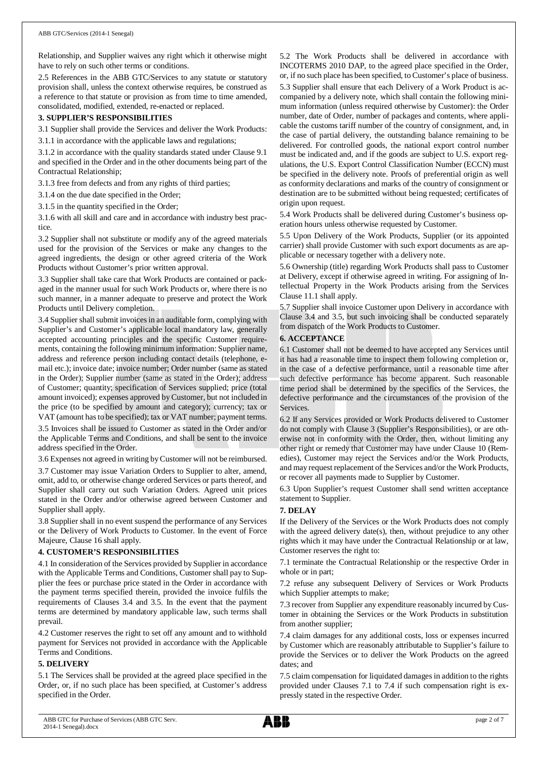Relationship, and Supplier waives any right which it otherwise might have to rely on such other terms or conditions.

2.5 References in the ABB GTC/Services to any statute or statutory provision shall, unless the context otherwise requires, be construed as a reference to that statute or provision as from time to time amended, consolidated, modified, extended, re-enacted or replaced.

## **3. SUPPLIER'S RESPONSIBILITIES**

3.1 Supplier shall provide the Services and deliver the Work Products:

3.1.1 in accordance with the applicable laws and regulations;

3.1.2 in accordance with the quality standards stated under Clause 9.1 and specified in the Order and in the other documents being part of the Contractual Relationship;

3.1.3 free from defects and from any rights of third parties;

3.1.4 on the due date specified in the Order;

3.1.5 in the quantity specified in the Order;

3.1.6 with all skill and care and in accordance with industry best practice.

3.2 Supplier shall not substitute or modify any of the agreed materials used for the provision of the Services or make any changes to the agreed ingredients, the design or other agreed criteria of the Work Products without Customer's prior written approval.

3.3 Supplier shall take care that Work Products are contained or packaged in the manner usual for such Work Products or, where there is no such manner, in a manner adequate to preserve and protect the Work Products until Delivery completion.

3.4 Supplier shall submit invoices in an auditable form, complying with Supplier's and Customer's applicable local mandatory law, generally accepted accounting principles and the specific Customer requirements, containing the following minimum information: Supplier name, address and reference person including contact details (telephone, email etc.); invoice date; invoice number; Order number (same as stated in the Order); Supplier number (same as stated in the Order); address of Customer; quantity; specification of Services supplied; price (total amount invoiced); expenses approved by Customer, but not included in the price (to be specified by amount and category); currency; tax or VAT (amount has to be specified); tax or VAT number; payment terms. 3.5 Invoices shall be issued to Customer as stated in the Order and/or

the Applicable Terms and Conditions, and shall be sent to the invoice address specified in the Order.

3.6 Expenses not agreed in writing by Customer will not be reimbursed.

3.7 Customer may issue Variation Orders to Supplier to alter, amend, omit, add to, or otherwise change ordered Services or parts thereof, and Supplier shall carry out such Variation Orders. Agreed unit prices stated in the Order and/or otherwise agreed between Customer and Supplier shall apply.

3.8 Supplier shall in no event suspend the performance of any Services or the Delivery of Work Products to Customer. In the event of Force Majeure, Clause 16 shall apply.

### **4. CUSTOMER'S RESPONSIBILITIES**

4.1 In consideration of the Services provided by Supplier in accordance with the Applicable Terms and Conditions, Customer shall pay to Supplier the fees or purchase price stated in the Order in accordance with the payment terms specified therein, provided the invoice fulfils the requirements of Clauses 3.4 and 3.5. In the event that the payment terms are determined by mandatory applicable law, such terms shall prevail.

4.2 Customer reserves the right to set off any amount and to withhold payment for Services not provided in accordance with the Applicable Terms and Conditions.

### **5. DELIVERY**

5.1 The Services shall be provided at the agreed place specified in the Order, or, if no such place has been specified, at Customer's address specified in the Order.

5.2 The Work Products shall be delivered in accordance with INCOTERMS 2010 DAP, to the agreed place specified in the Order, or, if no such place has been specified, to Customer's place of business. 5.3 Supplier shall ensure that each Delivery of a Work Product is accompanied by a delivery note, which shall contain the following minimum information (unless required otherwise by Customer): the Order number, date of Order, number of packages and contents, where applicable the customs tariff number of the country of consignment, and, in the case of partial delivery, the outstanding balance remaining to be delivered. For controlled goods, the national export control number must be indicated and, and if the goods are subject to U.S. export regulations, the U.S. Export Control Classification Number (ECCN) must be specified in the delivery note. Proofs of preferential origin as well as conformity declarations and marks of the country of consignment or destination are to be submitted without being requested; certificates of origin upon request.

5.4 Work Products shall be delivered during Customer's business operation hours unless otherwise requested by Customer.

5.5 Upon Delivery of the Work Products, Supplier (or its appointed carrier) shall provide Customer with such export documents as are applicable or necessary together with a delivery note.

5.6 Ownership (title) regarding Work Products shall pass to Customer at Delivery, except if otherwise agreed in writing. For assigning of Intellectual Property in the Work Products arising from the Services Clause 11.1 shall apply.

5.7 Supplier shall invoice Customer upon Delivery in accordance with Clause 3.4 and 3.5, but such invoicing shall be conducted separately from dispatch of the Work Products to Customer.

## **6. ACCEPTANCE**

6.1 Customer shall not be deemed to have accepted any Services until it has had a reasonable time to inspect them following completion or, in the case of a defective performance, until a reasonable time after such defective performance has become apparent. Such reasonable time period shall be determined by the specifics of the Services, the defective performance and the circumstances of the provision of the Services.

6.2 If any Services provided or Work Products delivered to Customer do not comply with Clause 3 (Supplier's Responsibilities), or are otherwise not in conformity with the Order, then, without limiting any other right or remedy that Customer may have under Clause 10 (Remedies), Customer may reject the Services and/or the Work Products, and may request replacement of the Services and/or the Work Products, or recover all payments made to Supplier by Customer.

6.3 Upon Supplier's request Customer shall send written acceptance statement to Supplier.

## **7. DELAY**

If the Delivery of the Services or the Work Products does not comply with the agreed delivery date(s), then, without prejudice to any other rights which it may have under the Contractual Relationship or at law, Customer reserves the right to:

7.1 terminate the Contractual Relationship or the respective Order in whole or in part;

7.2 refuse any subsequent Delivery of Services or Work Products which Supplier attempts to make;

7.3 recover from Supplier any expenditure reasonably incurred by Customer in obtaining the Services or the Work Products in substitution from another supplier;

7.4 claim damages for any additional costs, loss or expenses incurred by Customer which are reasonably attributable to Supplier's failure to provide the Services or to deliver the Work Products on the agreed dates; and

7.5 claim compensation for liquidated damages in addition to the rights provided under Clauses 7.1 to 7.4 if such compensation right is expressly stated in the respective Order.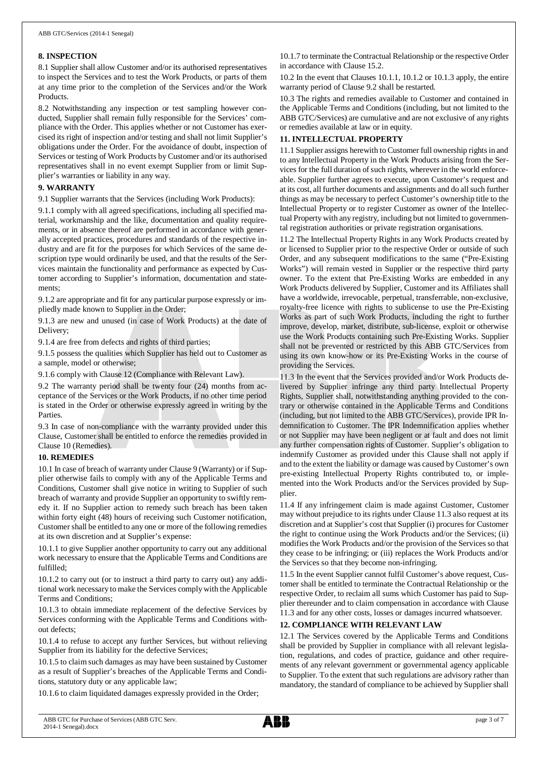## **8. INSPECTION**

8.1 Supplier shall allow Customer and/or its authorised representatives to inspect the Services and to test the Work Products, or parts of them at any time prior to the completion of the Services and/or the Work Products.

8.2 Notwithstanding any inspection or test sampling however conducted, Supplier shall remain fully responsible for the Services' compliance with the Order. This applies whether or not Customer has exercised its right of inspection and/or testing and shall not limit Supplier's obligations under the Order. For the avoidance of doubt, inspection of Services or testing of Work Products by Customer and/or its authorised representatives shall in no event exempt Supplier from or limit Supplier's warranties or liability in any way.

## **9. WARRANTY**

9.1 Supplier warrants that the Services (including Work Products):

9.1.1 comply with all agreed specifications, including all specified material, workmanship and the like, documentation and quality requirements, or in absence thereof are performed in accordance with generally accepted practices, procedures and standards of the respective industry and are fit for the purposes for which Services of the same description type would ordinarily be used, and that the results of the Services maintain the functionality and performance as expected by Customer according to Supplier's information, documentation and statements;

9.1.2 are appropriate and fit for any particular purpose expressly or impliedly made known to Supplier in the Order;

9.1.3 are new and unused (in case of Work Products) at the date of Delivery;

9.1.4 are free from defects and rights of third parties;

9.1.5 possess the qualities which Supplier has held out to Customer as a sample, model or otherwise;

9.1.6 comply with Clause 12 (Compliance with Relevant Law).

9.2 The warranty period shall be twenty four (24) months from acceptance of the Services or the Work Products, if no other time period is stated in the Order or otherwise expressly agreed in writing by the Parties.

9.3 In case of non-compliance with the warranty provided under this Clause, Customer shall be entitled to enforce the remedies provided in Clause 10 (Remedies).

## **10. REMEDIES**

10.1 In case of breach of warranty under Clause 9 (Warranty) or if Supplier otherwise fails to comply with any of the Applicable Terms and Conditions, Customer shall give notice in writing to Supplier of such breach of warranty and provide Supplier an opportunity to swiftly remedy it. If no Supplier action to remedy such breach has been taken within forty eight (48) hours of receiving such Customer notification, Customer shall be entitled to any one or more of the following remedies at its own discretion and at Supplier's expense:

10.1.1 to give Supplier another opportunity to carry out any additional work necessary to ensure that the Applicable Terms and Conditions are fulfilled;

10.1.2 to carry out (or to instruct a third party to carry out) any additional work necessary to make the Services comply with the Applicable Terms and Conditions;

10.1.3 to obtain immediate replacement of the defective Services by Services conforming with the Applicable Terms and Conditions without defects;

10.1.4 to refuse to accept any further Services, but without relieving Supplier from its liability for the defective Services;

10.1.5 to claim such damages as may have been sustained by Customer as a result of Supplier's breaches of the Applicable Terms and Conditions, statutory duty or any applicable law;

10.1.6 to claim liquidated damages expressly provided in the Order;

10.1.7 to terminate the Contractual Relationship or the respective Order in accordance with Clause 15.2.

10.2 In the event that Clauses 10.1.1, 10.1.2 or 10.1.3 apply, the entire warranty period of Clause 9.2 shall be restarted.

10.3 The rights and remedies available to Customer and contained in the Applicable Terms and Conditions (including, but not limited to the ABB GTC/Services) are cumulative and are not exclusive of any rights or remedies available at law or in equity.

## **11. INTELLECTUAL PROPERTY**

11.1 Supplier assigns herewith to Customer full ownership rights in and to any Intellectual Property in the Work Products arising from the Services for the full duration of such rights, wherever in the world enforceable. Supplier further agrees to execute, upon Customer's request and at its cost, all further documents and assignments and do all such further things as may be necessary to perfect Customer's ownership title to the Intellectual Property or to register Customer as owner of the Intellectual Property with any registry, including but not limited to governmental registration authorities or private registration organisations.

11.2 The Intellectual Property Rights in any Work Products created by or licensed to Supplier prior to the respective Order or outside of such Order, and any subsequent modifications to the same ("Pre-Existing Works") will remain vested in Supplier or the respective third party owner. To the extent that Pre-Existing Works are embedded in any Work Products delivered by Supplier, Customer and its Affiliates shall have a worldwide, irrevocable, perpetual, transferrable, non-exclusive, royalty-free licence with rights to sublicense to use the Pre-Existing Works as part of such Work Products, including the right to further improve, develop, market, distribute, sub-license, exploit or otherwise use the Work Products containing such Pre-Existing Works. Supplier shall not be prevented or restricted by this ABB GTC/Services from using its own know-how or its Pre-Existing Works in the course of providing the Services.

11.3 In the event that the Services provided and/or Work Products delivered by Supplier infringe any third party Intellectual Property Rights, Supplier shall, notwithstanding anything provided to the contrary or otherwise contained in the Applicable Terms and Conditions (including, but not limited to the ABB GTC/Services), provide IPR Indemnification to Customer. The IPR Indemnification applies whether or not Supplier may have been negligent or at fault and does not limit any further compensation rights of Customer. Supplier's obligation to indemnify Customer as provided under this Clause shall not apply if and to the extent the liability or damage was caused by Customer's own pre-existing Intellectual Property Rights contributed to, or implemented into the Work Products and/or the Services provided by Supplier.

11.4 If any infringement claim is made against Customer, Customer may without prejudice to its rights under Clause 11.3 also request at its discretion and at Supplier's cost that Supplier (i) procures for Customer the right to continue using the Work Products and/or the Services; (ii) modifies the Work Products and/or the provision of the Services so that they cease to be infringing; or (iii) replaces the Work Products and/or the Services so that they become non-infringing.

11.5 In the event Supplier cannot fulfil Customer's above request, Customer shall be entitled to terminate the Contractual Relationship or the respective Order, to reclaim all sums which Customer has paid to Supplier thereunder and to claim compensation in accordance with Clause 11.3 and for any other costs, losses or damages incurred whatsoever.

## **12. COMPLIANCE WITH RELEVANT LAW**

12.1 The Services covered by the Applicable Terms and Conditions shall be provided by Supplier in compliance with all relevant legislation, regulations, and codes of practice, guidance and other requirements of any relevant government or governmental agency applicable to Supplier. To the extent that such regulations are advisory rather than mandatory, the standard of compliance to be achieved by Supplier shall

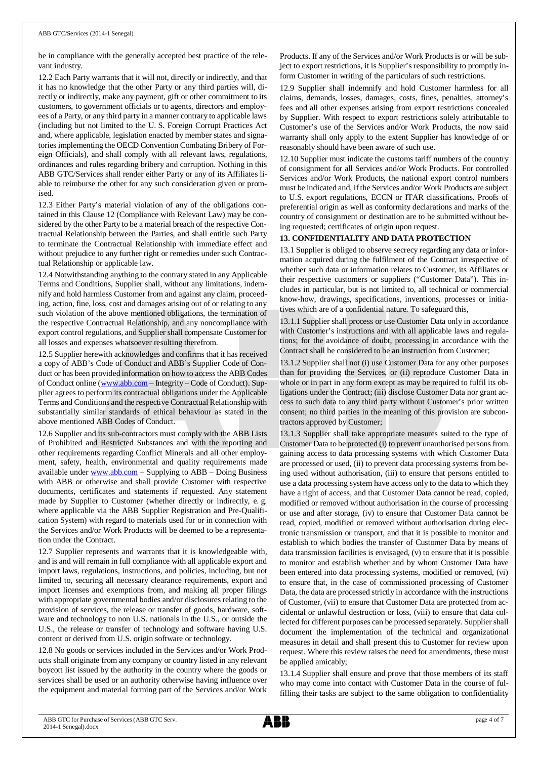be in compliance with the generally accepted best practice of the relevant industry.

12.2 Each Party warrants that it will not, directly or indirectly, and that it has no knowledge that the other Party or any third parties will, directly or indirectly, make any payment, gift or other commitment to its customers, to government officials or to agents, directors and employees of a Party, or any third party in a manner contrary to applicable laws (including but not limited to the U. S. Foreign Corrupt Practices Act and, where applicable, legislation enacted by member states and signatories implementing the OECD Convention Combating Bribery of Foreign Officials), and shall comply with all relevant laws, regulations, ordinances and rules regarding bribery and corruption. Nothing in this ABB GTC/Services shall render either Party or any of its Affiliates liable to reimburse the other for any such consideration given or promised.

12.3 Either Party's material violation of any of the obligations contained in this Clause 12 (Compliance with Relevant Law) may be considered by the other Party to be a material breach of the respective Contractual Relationship between the Parties, and shall entitle such Party to terminate the Contractual Relationship with immediate effect and without prejudice to any further right or remedies under such Contractual Relationship or applicable law.

12.4 Notwithstanding anything to the contrary stated in any Applicable Terms and Conditions, Supplier shall, without any limitations, indemnify and hold harmless Customer from and against any claim, proceeding, action, fine, loss, cost and damages arising out of or relating to any such violation of the above mentioned obligations, the termination of the respective Contractual Relationship, and any noncompliance with export control regulations, and Supplier shall compensate Customer for all losses and expenses whatsoever resulting therefrom.

12.5 Supplier herewith acknowledges and confirms that it has received a copy of ABB's Code of Conduct and ABB's Supplier Code of Conduct or has been provided information on how to access the ABB Codes of Conduct online ([www.abb.com](http://www.abb.com/) – Integrity – Code of Conduct). Supplier agrees to perform its contractual obligations under the Applicable Terms and Conditions and the respective Contractual Relationship with substantially similar standards of ethical behaviour as stated in the above mentioned ABB Codes of Conduct.

12.6 Supplier and its sub-contractors must comply with the ABB Lists of Prohibited and Restricted Substances and with the reporting and other requirements regarding Conflict Minerals and all other employment, safety, health, environmental and quality requirements made available under [www.abb.com](http://www.abb.com/) – Supplying to ABB – Doing Business with ABB or otherwise and shall provide Customer with respective documents, certificates and statements if requested. Any statement made by Supplier to Customer (whether directly or indirectly, e. g. where applicable via the ABB Supplier Registration and Pre-Qualification System) with regard to materials used for or in connection with the Services and/or Work Products will be deemed to be a representation under the Contract.

12.7 Supplier represents and warrants that it is knowledgeable with, and is and will remain in full compliance with all applicable export and import laws, regulations, instructions, and policies, including, but not limited to, securing all necessary clearance requirements, export and import licenses and exemptions from, and making all proper filings with appropriate governmental bodies and/or disclosures relating to the provision of services, the release or transfer of goods, hardware, software and technology to non U.S. nationals in the U.S., or outside the U.S., the release or transfer of technology and software having U.S. content or derived from U.S. origin software or technology.

12.8 No goods or services included in the Services and/or Work Products shall originate from any company or country listed in any relevant boycott list issued by the authority in the country where the goods or services shall be used or an authority otherwise having influence over the equipment and material forming part of the Services and/or Work

Products. If any of the Services and/or Work Products is or will be subject to export restrictions, it is Supplier's responsibility to promptly inform Customer in writing of the particulars of such restrictions.

12.9 Supplier shall indemnify and hold Customer harmless for all claims, demands, losses, damages, costs, fines, penalties, attorney's fees and all other expenses arising from export restrictions concealed by Supplier. With respect to export restrictions solely attributable to Customer's use of the Services and/or Work Products, the now said warranty shall only apply to the extent Supplier has knowledge of or reasonably should have been aware of such use.

12.10 Supplier must indicate the customs tariff numbers of the country of consignment for all Services and/or Work Products. For controlled Services and/or Work Products, the national export control numbers must be indicated and, if the Services and/or Work Products are subject to U.S. export regulations, ECCN or ITAR classifications. Proofs of preferential origin as well as conformity declarations and marks of the country of consignment or destination are to be submitted without being requested; certificates of origin upon request.

## **13. CONFIDENTIALITY AND DATA PROTECTION**

13.1 Supplier is obliged to observe secrecy regarding any data or information acquired during the fulfilment of the Contract irrespective of whether such data or information relates to Customer, its Affiliates or their respective customers or suppliers ("Customer Data"). This includes in particular, but is not limited to, all technical or commercial know-how, drawings, specifications, inventions, processes or initiatives which are of a confidential nature. To safeguard this,

13.1.1 Supplier shall process or use Customer Data only in accordance with Customer's instructions and with all applicable laws and regulations; for the avoidance of doubt, processing in accordance with the Contract shall be considered to be an instruction from Customer;

13.1.2 Supplier shall not (i) use Customer Data for any other purposes than for providing the Services, or (ii) reproduce Customer Data in whole or in part in any form except as may be required to fulfil its obligations under the Contract; (iii) disclose Customer Data nor grant access to such data to any third party without Customer's prior written consent; no third parties in the meaning of this provision are subcontractors approved by Customer;

13.1.3 Supplier shall take appropriate measures suited to the type of Customer Data to be protected (i) to prevent unauthorised persons from gaining access to data processing systems with which Customer Data are processed or used, (ii) to prevent data processing systems from being used without authorisation, (iii) to ensure that persons entitled to use a data processing system have access only to the data to which they have a right of access, and that Customer Data cannot be read, copied, modified or removed without authorisation in the course of processing or use and after storage, (iv) to ensure that Customer Data cannot be read, copied, modified or removed without authorisation during electronic transmission or transport, and that it is possible to monitor and establish to which bodies the transfer of Customer Data by means of data transmission facilities is envisaged, (v) to ensure that it is possible to monitor and establish whether and by whom Customer Data have been entered into data processing systems, modified or removed, (vi) to ensure that, in the case of commissioned processing of Customer Data, the data are processed strictly in accordance with the instructions of Customer, (vii) to ensure that Customer Data are protected from accidental or unlawful destruction or loss, (viii) to ensure that data collected for different purposes can be processed separately. Supplier shall document the implementation of the technical and organizational measures in detail and shall present this to Customer for review upon request. Where this review raises the need for amendments, these must be applied amicably;

13.1.4 Supplier shall ensure and prove that those members of its staff who may come into contact with Customer Data in the course of fulfilling their tasks are subject to the same obligation to confidentiality

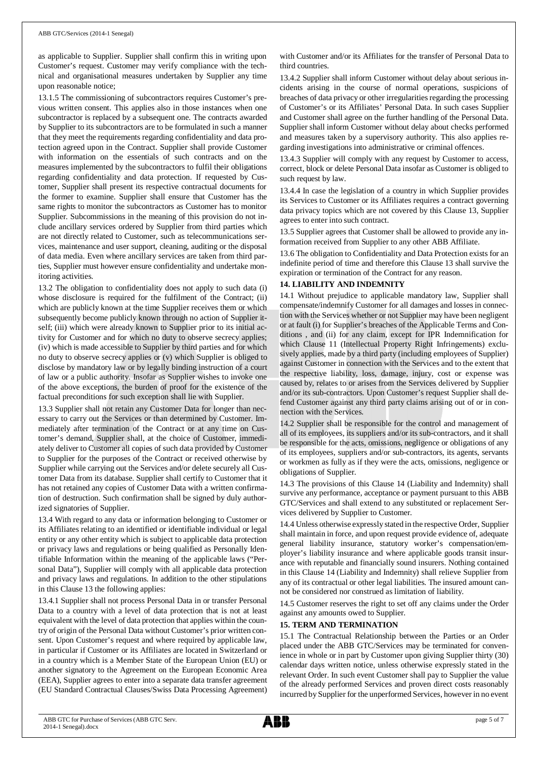as applicable to Supplier. Supplier shall confirm this in writing upon Customer's request. Customer may verify compliance with the technical and organisational measures undertaken by Supplier any time upon reasonable notice;

13.1.5 The commissioning of subcontractors requires Customer's previous written consent. This applies also in those instances when one subcontractor is replaced by a subsequent one. The contracts awarded by Supplier to its subcontractors are to be formulated in such a manner that they meet the requirements regarding confidentiality and data protection agreed upon in the Contract. Supplier shall provide Customer with information on the essentials of such contracts and on the measures implemented by the subcontractors to fulfil their obligations regarding confidentiality and data protection. If requested by Customer, Supplier shall present its respective contractual documents for the former to examine. Supplier shall ensure that Customer has the same rights to monitor the subcontractors as Customer has to monitor Supplier. Subcommissions in the meaning of this provision do not include ancillary services ordered by Supplier from third parties which are not directly related to Customer, such as telecommunications services, maintenance and user support, cleaning, auditing or the disposal of data media. Even where ancillary services are taken from third parties, Supplier must however ensure confidentiality and undertake monitoring activities.

13.2 The obligation to confidentiality does not apply to such data (i) whose disclosure is required for the fulfilment of the Contract; (ii) which are publicly known at the time Supplier receives them or which subsequently become publicly known through no action of Supplier itself; (iii) which were already known to Supplier prior to its initial activity for Customer and for which no duty to observe secrecy applies; (iv) which is made accessible to Supplier by third parties and for which no duty to observe secrecy applies or (v) which Supplier is obliged to disclose by mandatory law or by legally binding instruction of a court of law or a public authority. Insofar as Supplier wishes to invoke one of the above exceptions, the burden of proof for the existence of the factual preconditions for such exception shall lie with Supplier.

13.3 Supplier shall not retain any Customer Data for longer than necessary to carry out the Services or than determined by Customer. Immediately after termination of the Contract or at any time on Customer's demand, Supplier shall, at the choice of Customer, immediately deliver to Customer all copies of such data provided by Customer to Supplier for the purposes of the Contract or received otherwise by Supplier while carrying out the Services and/or delete securely all Customer Data from its database. Supplier shall certify to Customer that it has not retained any copies of Customer Data with a written confirmation of destruction. Such confirmation shall be signed by duly authorized signatories of Supplier.

13.4 With regard to any data or information belonging to Customer or its Affiliates relating to an identified or identifiable individual or legal entity or any other entity which is subject to applicable data protection or privacy laws and regulations or being qualified as Personally Identifiable Information within the meaning of the applicable laws ("Personal Data"), Supplier will comply with all applicable data protection and privacy laws and regulations. In addition to the other stipulations in this Clause 13 the following applies:

13.4.1 Supplier shall not process Personal Data in or transfer Personal Data to a country with a level of data protection that is not at least equivalent with the level of data protection that applies within the country of origin of the Personal Data without Customer's prior written consent. Upon Customer's request and where required by applicable law, in particular if Customer or its Affiliates are located in Switzerland or in a country which is a Member State of the European Union (EU) or another signatory to the Agreement on the European Economic Area (EEA), Supplier agrees to enter into a separate data transfer agreement (EU Standard Contractual Clauses/Swiss Data Processing Agreement) with Customer and/or its Affiliates for the transfer of Personal Data to third countries.

13.4.2 Supplier shall inform Customer without delay about serious incidents arising in the course of normal operations, suspicions of breaches of data privacy or other irregularities regarding the processing of Customer's or its Affiliates' Personal Data. In such cases Supplier and Customer shall agree on the further handling of the Personal Data. Supplier shall inform Customer without delay about checks performed and measures taken by a supervisory authority. This also applies regarding investigations into administrative or criminal offences.

13.4.3 Supplier will comply with any request by Customer to access, correct, block or delete Personal Data insofar as Customer is obliged to such request by law.

13.4.4 In case the legislation of a country in which Supplier provides its Services to Customer or its Affiliates requires a contract governing data privacy topics which are not covered by this Clause 13, Supplier agrees to enter into such contract.

13.5 Supplier agrees that Customer shall be allowed to provide any information received from Supplier to any other ABB Affiliate.

13.6 The obligation to Confidentiality and Data Protection exists for an indefinite period of time and therefore this Clause 13 shall survive the expiration or termination of the Contract for any reason.

## **14. LIABILITY AND INDEMNITY**

14.1 Without prejudice to applicable mandatory law, Supplier shall compensate/indemnify Customer for all damages and losses in connection with the Services whether or not Supplier may have been negligent or at fault (i) for Supplier's breaches of the Applicable Terms and Conditions , and (ii) for any claim, except for IPR Indemnification for which Clause 11 (Intellectual Property Right Infringements) exclusively applies, made by a third party (including employees of Supplier) against Customer in connection with the Services and to the extent that the respective liability, loss, damage, injury, cost or expense was caused by, relates to or arises from the Services delivered by Supplier and/or its sub-contractors. Upon Customer's request Supplier shall defend Customer against any third party claims arising out of or in connection with the Services.

14.2 Supplier shall be responsible for the control and management of all of its employees, its suppliers and/or its sub-contractors, and it shall be responsible for the acts, omissions, negligence or obligations of any of its employees, suppliers and/or sub-contractors, its agents, servants or workmen as fully as if they were the acts, omissions, negligence or obligations of Supplier.

14.3 The provisions of this Clause 14 (Liability and Indemnity) shall survive any performance, acceptance or payment pursuant to this ABB GTC/Services and shall extend to any substituted or replacement Services delivered by Supplier to Customer.

14.4 Unless otherwise expressly stated in the respective Order, Supplier shall maintain in force, and upon request provide evidence of, adequate general liability insurance, statutory worker's compensation/employer's liability insurance and where applicable goods transit insurance with reputable and financially sound insurers. Nothing contained in this Clause 14 (Liability and Indemnity) shall relieve Supplier from any of its contractual or other legal liabilities. The insured amount cannot be considered nor construed as limitation of liability.

14.5 Customer reserves the right to set off any claims under the Order against any amounts owed to Supplier.

## **15. TERM AND TERMINATION**

15.1 The Contractual Relationship between the Parties or an Order placed under the ABB GTC/Services may be terminated for convenience in whole or in part by Customer upon giving Supplier thirty (30) calendar days written notice, unless otherwise expressly stated in the relevant Order. In such event Customer shall pay to Supplier the value of the already performed Services and proven direct costs reasonably incurred by Supplier for the unperformed Services, however in no event

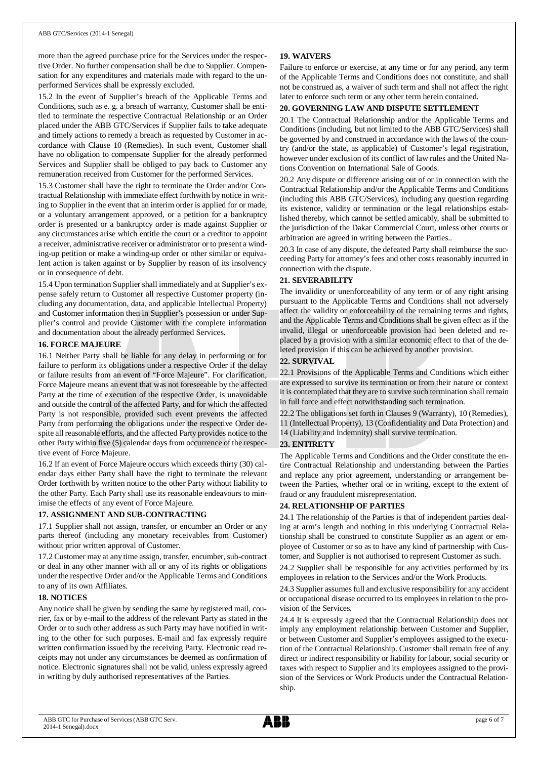more than the agreed purchase price for the Services under the respective Order. No further compensation shall be due to Supplier. Compensation for any expenditures and materials made with regard to the unperformed Services shall be expressly excluded.

15.2 In the event of Supplier's breach of the Applicable Terms and Conditions, such as e. g. a breach of warranty, Customer shall be entitled to terminate the respective Contractual Relationship or an Order placed under the ABB GTC/Services if Supplier fails to take adequate and timely actions to remedy a breach as requested by Customer in accordance with Clause 10 (Remedies). In such event, Customer shall have no obligation to compensate Supplier for the already performed Services and Supplier shall be obliged to pay back to Customer any remuneration received from Customer for the performed Services.

15.3 Customer shall have the right to terminate the Order and/or Contractual Relationship with immediate effect forthwith by notice in writing to Supplier in the event that an interim order is applied for or made, or a voluntary arrangement approved, or a petition for a bankruptcy order is presented or a bankruptcy order is made against Supplier or any circumstances arise which entitle the court or a creditor to appoint a receiver, administrative receiver or administrator or to present a winding-up petition or make a winding-up order or other similar or equivalent action is taken against or by Supplier by reason of its insolvency or in consequence of debt.

15.4 Upon termination Supplier shall immediately and at Supplier's expense safely return to Customer all respective Customer property (including any documentation, data, and applicable Intellectual Property) and Customer information then in Supplier's possession or under Supplier's control and provide Customer with the complete information and documentation about the already performed Services.

## **16. FORCE MAJEURE**

16.1 Neither Party shall be liable for any delay in performing or for failure to perform its obligations under a respective Order if the delay or failure results from an event of "Force Majeure". For clarification, Force Majeure means an event that was not foreseeable by the affected Party at the time of execution of the respective Order, is unavoidable and outside the control of the affected Party, and for which the affected Party is not responsible, provided such event prevents the affected Party from performing the obligations under the respective Order despite all reasonable efforts, and the affected Party provides notice to the other Party within five (5) calendar days from occurrence of the respective event of Force Majeure.

16.2 If an event of Force Majeure occurs which exceeds thirty (30) calendar days either Party shall have the right to terminate the relevant Order forthwith by written notice to the other Party without liability to the other Party. Each Party shall use its reasonable endeavours to minimise the effects of any event of Force Majeure.

## **17. ASSIGNMENT AND SUB-CONTRACTING**

17.1 Supplier shall not assign, transfer, or encumber an Order or any parts thereof (including any monetary receivables from Customer) without prior written approval of Customer.

17.2 Customer may at any time assign, transfer, encumber, sub-contract or deal in any other manner with all or any of its rights or obligations under the respective Order and/or the Applicable Terms and Conditions to any of its own Affiliates.

## **18. NOTICES**

Any notice shall be given by sending the same by registered mail, courier, fax or by e-mail to the address of the relevant Party as stated in the Order or to such other address as such Party may have notified in writing to the other for such purposes. E-mail and fax expressly require written confirmation issued by the receiving Party. Electronic read receipts may not under any circumstances be deemed as confirmation of notice. Electronic signatures shall not be valid, unless expressly agreed in writing by duly authorised representatives of the Parties.

## **19. WAIVERS**

Failure to enforce or exercise, at any time or for any period, any term of the Applicable Terms and Conditions does not constitute, and shall not be construed as, a waiver of such term and shall not affect the right later to enforce such term or any other term herein contained.

## **20. GOVERNING LAW AND DISPUTE SETTLEMENT**

20.1 The Contractual Relationship and/or the Applicable Terms and Conditions (including, but not limited to the ABB GTC/Services) shall be governed by and construed in accordance with the laws of the country (and/or the state, as applicable) of Customer's legal registration, however under exclusion of its conflict of law rules and the United Nations Convention on International Sale of Goods.

20.2 Any dispute or difference arising out of or in connection with the Contractual Relationship and/or the Applicable Terms and Conditions (including this ABB GTC/Services), including any question regarding its existence, validity or termination or the legal relationships established thereby, which cannot be settled amicably, shall be submitted to the jurisdiction of the Dakar Commercial Court, unless other courts or arbitration are agreed in writing between the Parties..

20.3 In case of any dispute, the defeated Party shall reimburse the succeeding Party for attorney's fees and other costs reasonably incurred in connection with the dispute.

## **21. SEVERABILITY**

The invalidity or unenforceability of any term or of any right arising pursuant to the Applicable Terms and Conditions shall not adversely affect the validity or enforceability of the remaining terms and rights, and the Applicable Terms and Conditions shall be given effect as if the invalid, illegal or unenforceable provision had been deleted and replaced by a provision with a similar economic effect to that of the deleted provision if this can be achieved by another provision.

## **22. SURVIVAL**

22.1 Provisions of the Applicable Terms and Conditions which either are expressed to survive its termination or from their nature or context it is contemplated that they are to survive such termination shall remain in full force and effect notwithstanding such termination.

22.2 The obligations set forth in Clauses 9 (Warranty), 10 (Remedies), 11 (Intellectual Property), 13 (Confidentiality and Data Protection) and 14 (Liability and Indemnity) shall survive termination.

## **23. ENTIRETY**

The Applicable Terms and Conditions and the Order constitute the entire Contractual Relationship and understanding between the Parties and replace any prior agreement, understanding or arrangement between the Parties, whether oral or in writing, except to the extent of fraud or any fraudulent misrepresentation.

## **24. RELATIONSHIP OF PARTIES**

24.1 The relationship of the Parties is that of independent parties dealing at arm's length and nothing in this underlying Contractual Relationship shall be construed to constitute Supplier as an agent or employee of Customer or so as to have any kind of partnership with Customer, and Supplier is not authorised to represent Customer as such.

24.2 Supplier shall be responsible for any activities performed by its employees in relation to the Services and/or the Work Products.

24.3 Supplier assumes full and exclusive responsibility for any accident or occupational disease occurred to its employees in relation to the provision of the Services.

24.4 It is expressly agreed that the Contractual Relationship does not imply any employment relationship between Customer and Supplier, or between Customer and Supplier's employees assigned to the execution of the Contractual Relationship. Customer shall remain free of any direct or indirect responsibility or liability for labour, social security or taxes with respect to Supplier and its employees assigned to the provision of the Services or Work Products under the Contractual Relationship.